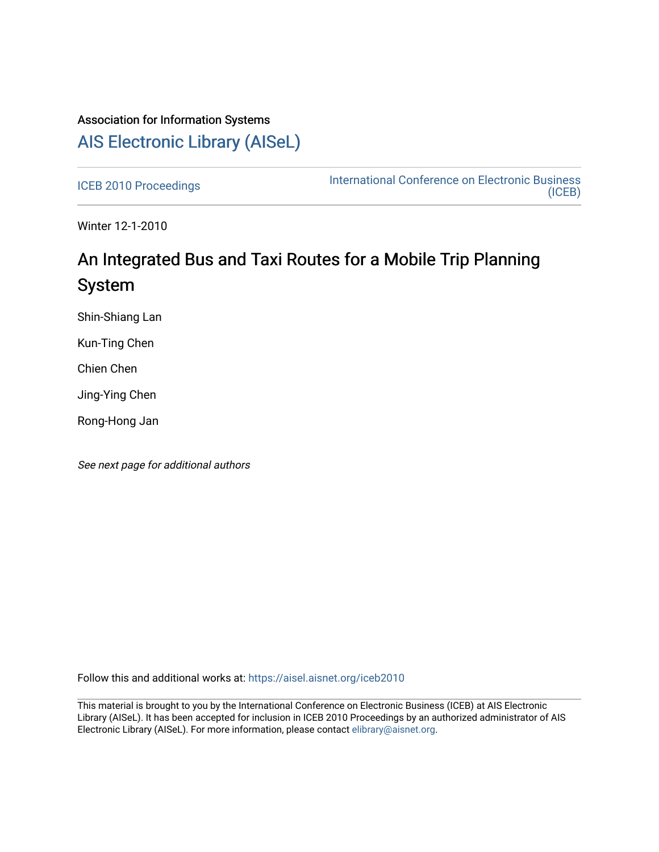## Association for Information Systems [AIS Electronic Library \(AISeL\)](https://aisel.aisnet.org/)

[ICEB 2010 Proceedings](https://aisel.aisnet.org/iceb2010) **International Conference on Electronic Business** [\(ICEB\)](https://aisel.aisnet.org/iceb) 

Winter 12-1-2010

# An Integrated Bus and Taxi Routes for a Mobile Trip Planning System

Shin-Shiang Lan

Kun-Ting Chen

Chien Chen

Jing-Ying Chen

Rong-Hong Jan

See next page for additional authors

Follow this and additional works at: [https://aisel.aisnet.org/iceb2010](https://aisel.aisnet.org/iceb2010?utm_source=aisel.aisnet.org%2Ficeb2010%2F21&utm_medium=PDF&utm_campaign=PDFCoverPages)

This material is brought to you by the International Conference on Electronic Business (ICEB) at AIS Electronic Library (AISeL). It has been accepted for inclusion in ICEB 2010 Proceedings by an authorized administrator of AIS Electronic Library (AISeL). For more information, please contact [elibrary@aisnet.org.](mailto:elibrary@aisnet.org%3E)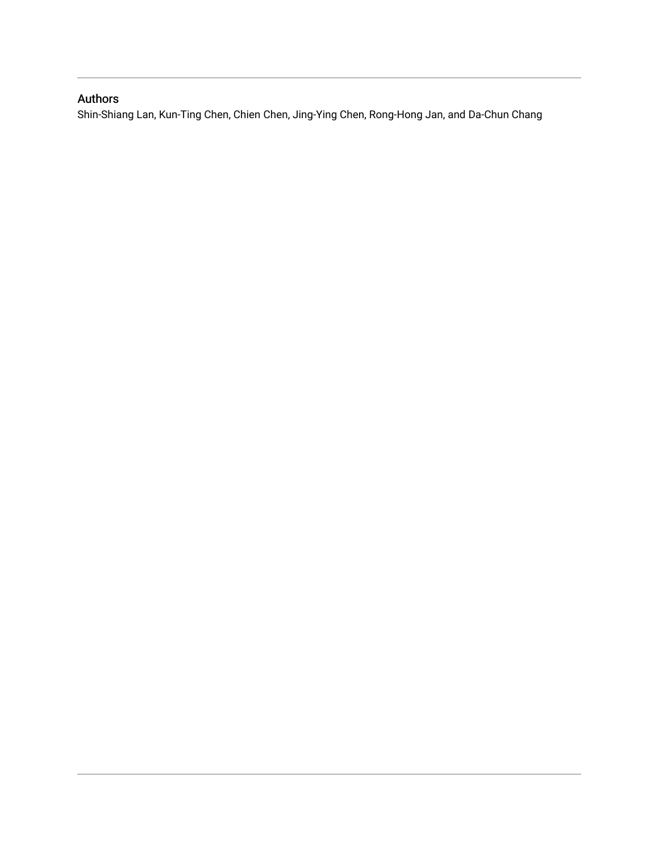### Authors

Shin-Shiang Lan, Kun-Ting Chen, Chien Chen, Jing-Ying Chen, Rong-Hong Jan, and Da-Chun Chang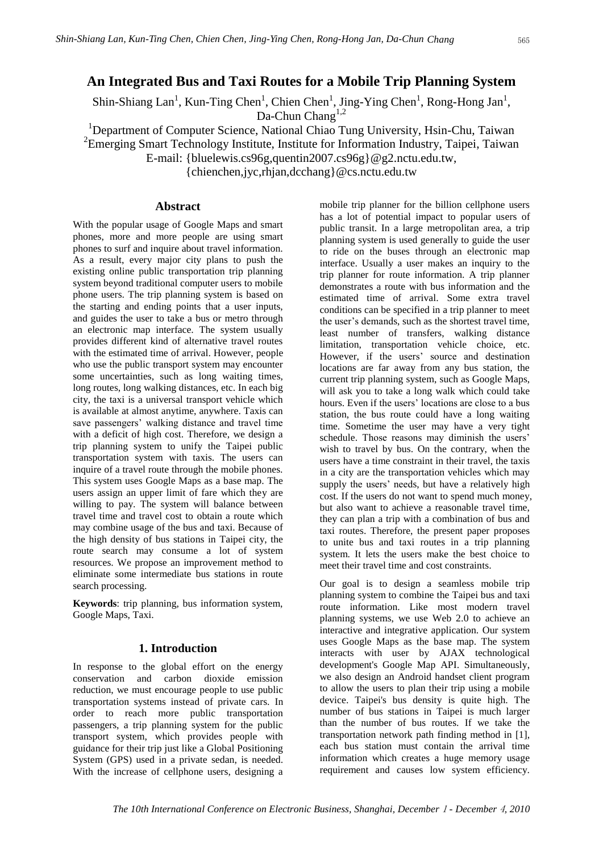### **An Integrated Bus and Taxi Routes for a Mobile Trip Planning System**

Shin-Shiang Lan<sup>1</sup>, Kun-Ting Chen<sup>1</sup>, Chien Chen<sup>1</sup>, Jing-Ying Chen<sup>1</sup>, Rong-Hong Jan<sup>1</sup>,

Da-Chun Chang<sup>1,2</sup>

<sup>1</sup>Department of Computer Science, National Chiao Tung University, Hsin-Chu, Taiwan

<sup>2</sup> Emerging Smart Technology Institute, Institute for Information Industry, Taipei, Taiwan

E-mail: {bluelewis.cs96g,quentin2007.cs96g}@g2.nctu.edu.tw,

{chienchen,jyc,rhjan,dcchang}@cs.nctu.edu.tw

### **Abstract**

With the popular usage of Google Maps and smart phones, more and more people are using smart phones to surf and inquire about travel information. As a result, every major city plans to push the existing online public transportation trip planning system beyond traditional computer users to mobile phone users. The trip planning system is based on the starting and ending points that a user inputs, and guides the user to take a bus or metro through an electronic map interface. The system usually provides different kind of alternative travel routes with the estimated time of arrival. However, people who use the public transport system may encounter some uncertainties, such as long waiting times, long routes, long walking distances, etc. In each big city, the taxi is a universal transport vehicle which is available at almost anytime, anywhere. Taxis can save passengers' walking distance and travel time with a deficit of high cost. Therefore, we design a trip planning system to unify the Taipei public transportation system with taxis. The users can inquire of a travel route through the mobile phones. This system uses Google Maps as a base map. The users assign an upper limit of fare which they are willing to pay. The system will balance between travel time and travel cost to obtain a route which may combine usage of the bus and taxi. Because of the high density of bus stations in Taipei city, the route search may consume a lot of system resources. We propose an improvement method to eliminate some intermediate bus stations in route search processing.

**Keywords**: trip planning, bus information system, Google Maps, Taxi.

### **1. Introduction**

In response to the global effort on the energy conservation and carbon dioxide emission reduction, we must encourage people to use public transportation systems instead of private cars. In order to reach more public transportation passengers, a trip planning system for the public transport system, which provides people with guidance for their trip just like a Global Positioning System (GPS) used in a private sedan, is needed. With the increase of cellphone users, designing a mobile trip planner for the billion cellphone users has a lot of potential impact to popular users of public transit. In a large metropolitan area, a trip planning system is used generally to guide the user to ride on the buses through an electronic map interface. Usually a user makes an inquiry to the trip planner for route information. A trip planner demonstrates a route with bus information and the estimated time of arrival. Some extra travel conditions can be specified in a trip planner to meet the user's demands, such as the shortest travel time, least number of transfers, walking distance limitation, transportation vehicle choice, etc. However, if the users' source and destination locations are far away from any bus station, the current trip planning system, such as Google Maps, will ask you to take a long walk which could take hours. Even if the users' locations are close to a bus station, the bus route could have a long waiting time. Sometime the user may have a very tight schedule. Those reasons may diminish the users' wish to travel by bus. On the contrary, when the users have a time constraint in their travel, the taxis in a city are the transportation vehicles which may supply the users' needs, but have a relatively high cost. If the users do not want to spend much money, but also want to achieve a reasonable travel time, they can plan a trip with a combination of bus and taxi routes. Therefore, the present paper proposes to unite bus and taxi routes in a trip planning system. It lets the users make the best choice to meet their travel time and cost constraints.

Our goal is to design a seamless mobile trip planning system to combine the Taipei bus and taxi route information. Like most modern travel planning systems, we use Web 2.0 to achieve an interactive and integrative application. Our system uses Google Maps as the base map. The system interacts with user by AJAX technological development's Google Map API. Simultaneously, we also design an Android handset client program to allow the users to plan their trip using a mobile device. Taipei's bus density is quite high. The number of bus stations in Taipei is much larger than the number of bus routes. If we take the transportation network path finding method in [1], each bus station must contain the arrival time information which creates a huge memory usage requirement and causes low system efficiency.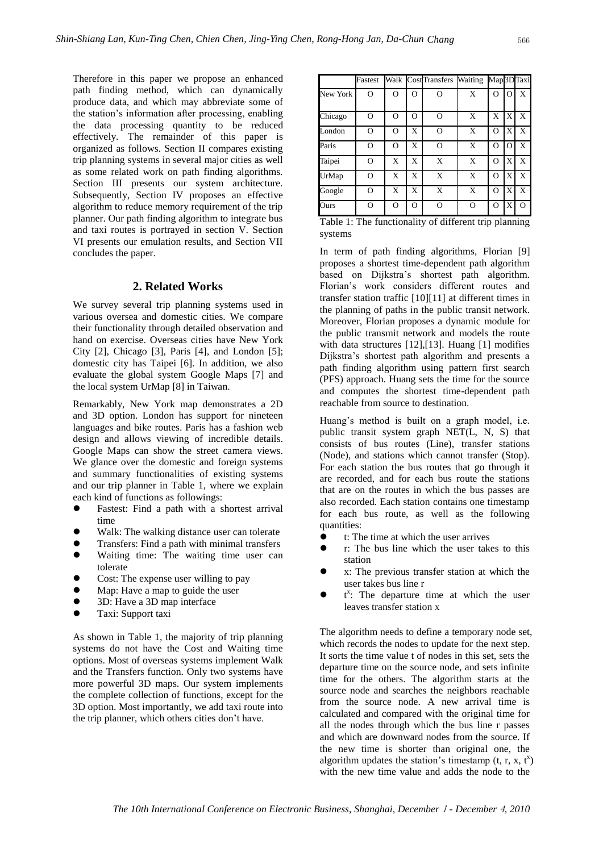Therefore in this paper we propose an enhanced path finding method, which can dynamically produce data, and which may abbreviate some of the station's information after processing, enabling the data processing quantity to be reduced effectively. The remainder of this paper is organized as follows. Section II compares existing trip planning systems in several major cities as well as some related work on path finding algorithms. Section III presents our system architecture. Subsequently, Section IV proposes an effective algorithm to reduce memory requirement of the trip planner. Our path finding algorithm to integrate bus and taxi routes is portrayed in section V. Section VI presents our emulation results, and Section VII concludes the paper.

### **2. Related Works**

We survey several trip planning systems used in various oversea and domestic cities. We compare their functionality through detailed observation and hand on exercise. Overseas cities have New York City [2], Chicago [3], Paris [4], and London [5]; domestic city has Taipei [6]. In addition, we also evaluate the global system Google Maps [7] and the local system UrMap [8] in Taiwan.

Remarkably, New York map demonstrates a 2D and 3D option. London has support for nineteen languages and bike routes. Paris has a fashion web design and allows viewing of incredible details. Google Maps can show the street camera views. We glance over the domestic and foreign systems and summary functionalities of existing systems and our trip planner in Table 1, where we explain each kind of functions as followings:

- Fastest: Find a path with a shortest arrival time
- Walk: The walking distance user can tolerate
- Transfers: Find a path with minimal transfers
- Waiting time: The waiting time user can tolerate
- Cost: The expense user willing to pay
- Map: Have a map to guide the user
- 3D: Have a 3D map interface
- Taxi: Support taxi

As shown in Table 1, the majority of trip planning systems do not have the Cost and Waiting time options. Most of overseas systems implement Walk and the Transfers function. Only two systems have more powerful 3D maps. Our system implements the complete collection of functions, except for the 3D option. Most importantly, we add taxi route into the trip planner, which others cities don't have.

|          | Fastest  |          |          | Walk CostTransfers Waiting |   | Map3DTaxi |                         |          |
|----------|----------|----------|----------|----------------------------|---|-----------|-------------------------|----------|
| New York | О        | $\Omega$ | $\Omega$ | O                          | X | $\Omega$  | $\Omega$                | X        |
| Chicago  | Ω        | $\Omega$ | $\Omega$ | O                          | X | X         | $\mathbf{I} \mathbf{X}$ | X        |
| London   | $\Omega$ | $\Omega$ | X        | O                          | X | $\Omega$  | X                       | X        |
| Paris    | O        | $\Omega$ | X        | $\Omega$                   | X | $\Omega$  | $\Omega$                | X        |
| Taipei   | O        | X        | X        | X                          | X | $\Omega$  | X                       | X        |
| UrMap    | $\Omega$ | X        | X        | X                          | X | $\Omega$  | X                       | X        |
| Google   | $\Omega$ | X        | X        | $\mathbf x$                | X | $\Omega$  | X                       | X        |
| Ours     | O        | $\Omega$ | $\Omega$ | $\Omega$                   | O | $\Omega$  | X                       | $\Omega$ |

Table 1: The functionality of different trip planning systems

In term of path finding algorithms, Florian [9] proposes a shortest time-dependent path algorithm based on Dijkstra's shortest path algorithm. Florian's work considers different routes and transfer station traffic [10][11] at different times in the planning of paths in the public transit network. Moreover, Florian proposes a dynamic module for the public transmit network and models the route with data structures [12],[13]. Huang [1] modifies Dijkstra's shortest path algorithm and presents a path finding algorithm using pattern first search (PFS) approach. Huang sets the time for the source and computes the shortest time-dependent path reachable from source to destination.

Huang's method is built on a graph model, i.e. public transit system graph NET(L, N, S) that consists of bus routes (Line), transfer stations (Node), and stations which cannot transfer (Stop). For each station the bus routes that go through it are recorded, and for each bus route the stations that are on the routes in which the bus passes are also recorded. Each station contains one timestamp for each bus route, as well as the following quantities:

- t: The time at which the user arrives
- T: The bus line which the user takes to this station
- x: The previous transfer station at which the user takes bus line r
- $\bullet$  $x$ : The departure time at which the user leaves transfer station x

The algorithm needs to define a temporary node set, which records the nodes to update for the next step. It sorts the time value t of nodes in this set, sets the departure time on the source node, and sets infinite time for the others. The algorithm starts at the source node and searches the neighbors reachable from the source node. A new arrival time is calculated and compared with the original time for all the nodes through which the bus line r passes and which are downward nodes from the source. If the new time is shorter than original one, the algorithm updates the station's timestamp  $(t, r, x, t^x)$ with the new time value and adds the node to the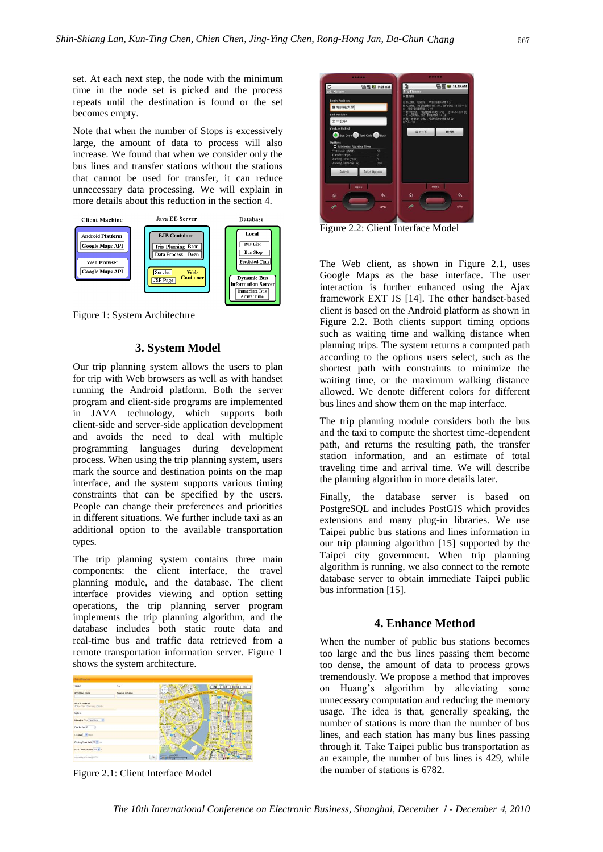set. At each next step, the node with the minimum time in the node set is picked and the process repeats until the destination is found or the set becomes empty.

Note that when the number of Stops is excessively large, the amount of data to process will also increase. We found that when we consider only the bus lines and transfer stations without the stations that cannot be used for transfer, it can reduce unnecessary data processing. We will explain in more details about this reduction in the section 4.



Figure 1: System Architecture

### **3. System Model**

Our trip planning system allows the users to plan for trip with Web browsers as well as with handset running the Android platform. Both the server program and client-side programs are implemented in JAVA technology, which supports both client-side and server-side application development and avoids the need to deal with multiple programming languages during development process. When using the trip planning system, users mark the source and destination points on the map interface, and the system supports various timing constraints that can be specified by the users. People can change their preferences and priorities in different situations. We further include taxi as an additional option to the available transportation types.

The trip planning system contains three main components: the client interface, the travel planning module, and the database. The client interface provides viewing and option setting operations, the trip planning server program implements the trip planning algorithm, and the database includes both static route data and real-time bus and traffic data retrieved from a remote transportation information server. Figure 1 shows the system architecture.



Figure 2.1: Client Interface Model



Figure 2.2: Client Interface Model

The Web client, as shown in Figure 2.1, uses Google Maps as the base interface. The user interaction is further enhanced using the Ajax framework EXT JS [14]. The other handset-based client is based on the Android platform as shown in Figure 2.2. Both clients support timing options such as waiting time and walking distance when planning trips. The system returns a computed path according to the options users select, such as the shortest path with constraints to minimize the waiting time, or the maximum walking distance allowed. We denote different colors for different bus lines and show them on the map interface.

The trip planning module considers both the bus and the taxi to compute the shortest time-dependent path, and returns the resulting path, the transfer station information, and an estimate of total traveling time and arrival time. We will describe the planning algorithm in more details later.

Finally, the database server is based on PostgreSQL and includes PostGIS which provides extensions and many plug-in libraries. We use Taipei public bus stations and lines information in our trip planning algorithm [15] supported by the Taipei city government. When trip planning algorithm is running, we also connect to the remote database server to obtain immediate Taipei public bus information [15].

### **4. Enhance Method**

When the number of public bus stations becomes too large and the bus lines passing them become too dense, the amount of data to process grows tremendously. We propose a method that improves on Huang's algorithm by alleviating some unnecessary computation and reducing the memory usage. The idea is that, generally speaking, the number of stations is more than the number of bus lines, and each station has many bus lines passing through it. Take Taipei public bus transportation as an example, the number of bus lines is 429, while the number of stations is 6782.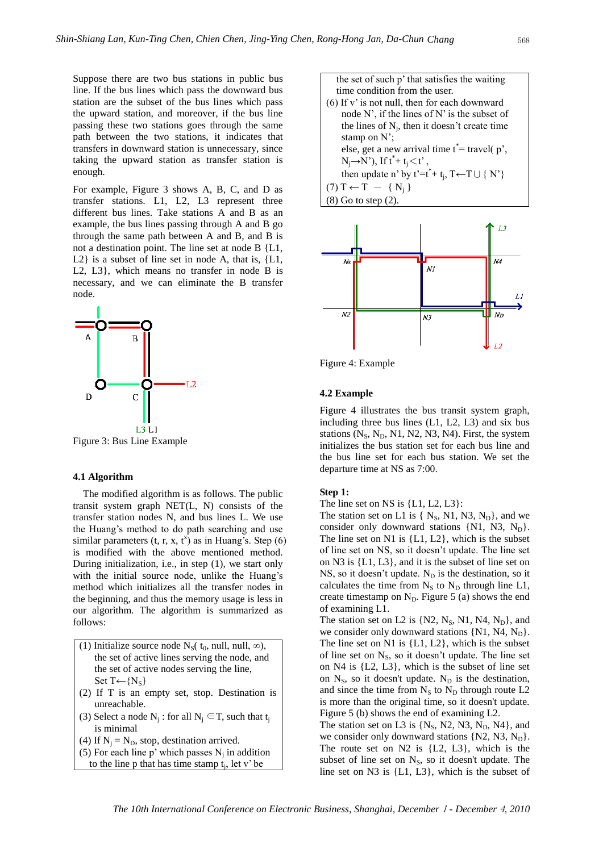Suppose there are two bus stations in public bus line. If the bus lines which pass the downward bus station are the subset of the bus lines which pass the upward station, and moreover, if the bus line passing these two stations goes through the same path between the two stations, it indicates that transfers in downward station is unnecessary, since taking the upward station as transfer station is enough.

For example, Figure 3 shows A, B, C, and D as transfer stations. L1, L2, L3 represent three different bus lines. Take stations A and B as an example, the bus lines passing through A and B go through the same path between A and B, and B is not a destination point. The line set at node B {L1, L2} is a subset of line set in node A, that is, {L1, L2, L3}, which means no transfer in node B is necessary, and we can eliminate the B transfer node.



Figure 3: Bus Line Example

#### **4.1 Algorithm**

The modified algorithm is as follows. The public transit system graph NET(L, N) consists of the transfer station nodes N, and bus lines L. We use the Huang's method to do path searching and use similar parameters  $(t, r, x, t^x)$  as in Huang's. Step (6) is modified with the above mentioned method. During initialization, i.e., in step (1), we start only with the initial source node, unlike the Huang's method which initializes all the transfer nodes in the beginning, and thus the memory usage is less in our algorithm. The algorithm is summarized as follows:

- (1) Initialize source node N<sub>S</sub>( $t_0$ , null, null,  $\infty$ ), the set of active lines serving the node, and the set of active nodes serving the line, Set T← ${N_s}$
- (2) If T is an empty set, stop. Destination is unreachable.
- (3) Select a node  $N_j$ : for all  $N_j \in T$ , such that  $t_j$ is minimal
- (4) If  $N_i = N_D$ , stop, destination arrived.
- (5) For each line p' which passes  $N_j$  in addition

to the line  $p$  that has time stamp  $t_j$ , let  $v'$  be

the set of such p' that satisfies the waiting time condition from the user. (6) If v' is not null, then for each downward node N', if the lines of N' is the subset of the lines of  $N_j$ , then it doesn't create time stamp on N'; else, get a new arrival time  $t^*$ = travel( $p^*$ ,

 $N_j \rightarrow N'$ ), If  $t^* + t_j < t'$ , then update n' by t'=t<sup>\*</sup>+ t<sub>j</sub>, T←T∪ { N'}  $(7) T \leftarrow T - \{ N_i \}$ 

(8) Go to step (2).



Figure 4: Example

#### **4.2 Example**

Figure 4 illustrates the bus transit system graph, including three bus lines (L1, L2, L3) and six bus stations  $(N<sub>S</sub>, N<sub>D</sub>, N1, N2, N3, N4)$ . First, the system initializes the bus station set for each bus line and the bus line set for each bus station. We set the departure time at NS as 7:00.

#### **Step 1:**

The line set on NS is  ${L1, L2, L3}$ :

The station set on L1 is  $\{ N_s, N_1, N_3, N_p \}$ , and we consider only downward stations  $\{N1, N3, N_D\}$ . The line set on N1 is {L1, L2}, which is the subset of line set on NS, so it doesn't update. The line set on N3 is {L1, L3}, and it is the subset of line set on NS, so it doesn't update.  $N_D$  is the destination, so it calculates the time from  $N_S$  to  $N_D$  through line L1, create timestamp on  $N_D$ . Figure 5 (a) shows the end of examining L1.

The station set on L2 is  $\{N_2, N_S, N_1, N_4, N_D\}$ , and we consider only downward stations  $\{N1, N4, N_D\}$ . The line set on N1 is  ${L1, L2}$ , which is the subset of line set on  $N<sub>S</sub>$ , so it doesn't update. The line set on N4 is {L2, L3}, which is the subset of line set on  $N<sub>S</sub>$ , so it doesn't update.  $N<sub>D</sub>$  is the destination, and since the time from  $N_S$  to  $N_D$  through route L2 is more than the original time, so it doesn't update. Figure 5 (b) shows the end of examining L2.

The station set on L3 is  $\{N_s, N2, N3, N_D, N4\}$ , and we consider only downward stations  $\{N2, N3, N_D\}.$ The route set on N2 is {L2, L3}, which is the subset of line set on  $N<sub>S</sub>$ , so it doesn't update. The line set on N3 is {L1, L3}, which is the subset of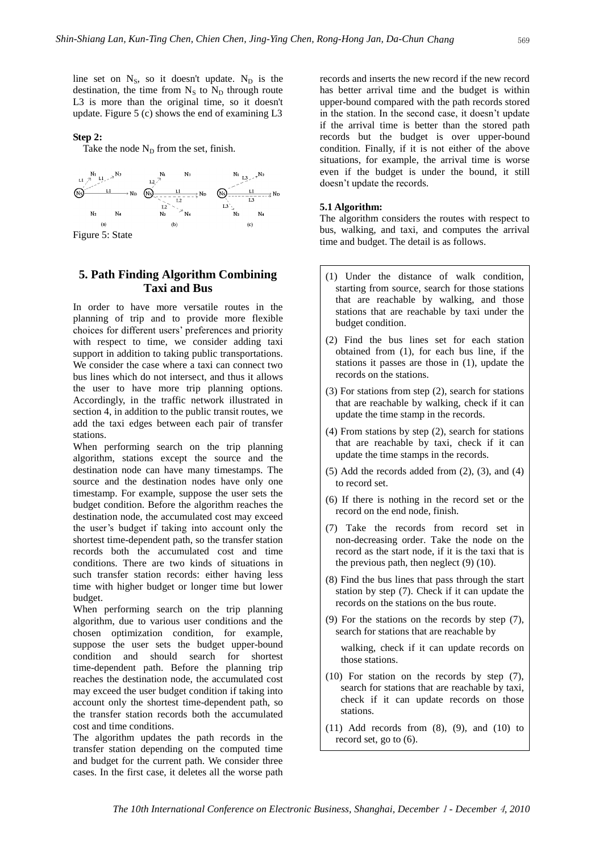line set on  $N<sub>S</sub>$ , so it doesn't update.  $N<sub>D</sub>$  is the destination, the time from  $N_S$  to  $N_D$  through route L3 is more than the original time, so it doesn't update. Figure 5 (c) shows the end of examining L3

### **Step 2:**

Take the node  $N_D$  from the set, finish.



### **5. Path Finding Algorithm Combining Taxi and Bus**

In order to have more versatile routes in the planning of trip and to provide more flexible choices for different users' preferences and priority with respect to time, we consider adding taxi support in addition to taking public transportations. We consider the case where a taxi can connect two bus lines which do not intersect, and thus it allows the user to have more trip planning options. Accordingly, in the traffic network illustrated in section 4, in addition to the public transit routes, we add the taxi edges between each pair of transfer stations.

When performing search on the trip planning algorithm, stations except the source and the destination node can have many timestamps. The source and the destination nodes have only one timestamp. For example, suppose the user sets the budget condition. Before the algorithm reaches the destination node, the accumulated cost may exceed the user's budget if taking into account only the shortest time-dependent path, so the transfer station records both the accumulated cost and time conditions. There are two kinds of situations in such transfer station records: either having less time with higher budget or longer time but lower budget.

When performing search on the trip planning algorithm, due to various user conditions and the chosen optimization condition, for example, suppose the user sets the budget upper-bound condition and should search for shortest time-dependent path. Before the planning trip reaches the destination node, the accumulated cost may exceed the user budget condition if taking into account only the shortest time-dependent path, so the transfer station records both the accumulated cost and time conditions.

The algorithm updates the path records in the transfer station depending on the computed time and budget for the current path. We consider three cases. In the first case, it deletes all the worse path

records and inserts the new record if the new record has better arrival time and the budget is within upper-bound compared with the path records stored in the station. In the second case, it doesn't update if the arrival time is better than the stored path records but the budget is over upper-bound condition. Finally, if it is not either of the above situations, for example, the arrival time is worse even if the budget is under the bound, it still doesn't update the records.

#### **5.1 Algorithm:**

The algorithm considers the routes with respect to bus, walking, and taxi, and computes the arrival time and budget. The detail is as follows.

- (1) Under the distance of walk condition, starting from source, search for those stations that are reachable by walking, and those stations that are reachable by taxi under the budget condition.
- (2) Find the bus lines set for each station obtained from (1), for each bus line, if the stations it passes are those in (1), update the records on the stations.
- (3) For stations from step (2), search for stations that are reachable by walking, check if it can update the time stamp in the records.
- (4) From stations by step (2), search for stations that are reachable by taxi, check if it can update the time stamps in the records.
- $(5)$  Add the records added from  $(2)$ ,  $(3)$ , and  $(4)$ to record set.
- (6) If there is nothing in the record set or the record on the end node, finish.
- (7) Take the records from record set in non-decreasing order. Take the node on the record as the start node, if it is the taxi that is the previous path, then neglect  $(9)$   $(10)$ .
- (8) Find the bus lines that pass through the start station by step (7). Check if it can update the records on the stations on the bus route.
- (9) For the stations on the records by step (7), search for stations that are reachable by

walking, check if it can update records on those stations.

- (10) For station on the records by step (7), search for stations that are reachable by taxi, check if it can update records on those stations.
- $(11)$  Add records from  $(8)$ ,  $(9)$ , and  $(10)$  to record set, go to (6).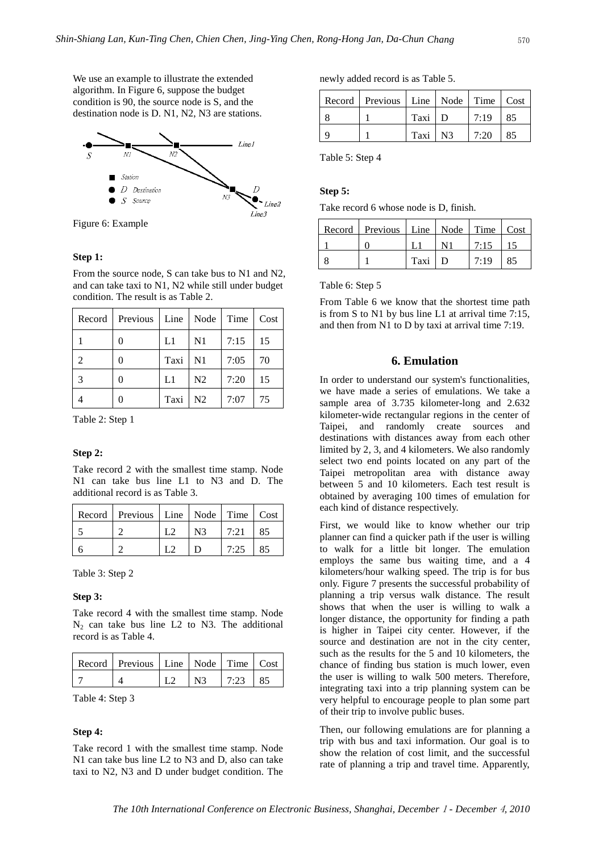We use an example to illustrate the extended algorithm. In Figure 6, suppose the budget condition is 90, the source node is S, and the destination node is D. N1, N2, N3 are stations.



Figure 6: Example

#### **Step 1:**

From the source node, S can take bus to N1 and N2, and can take taxi to N1, N2 while still under budget condition. The result is as Table 2.

|                | Record   Previous   Line |      | Node           | Time | Cost |
|----------------|--------------------------|------|----------------|------|------|
|                |                          | L1   | N <sub>1</sub> | 7:15 | 15   |
| $\mathfrak{D}$ | 0                        | Taxi | N <sub>1</sub> | 7:05 | 70   |
| $\mathcal{R}$  |                          | L1   | N <sub>2</sub> | 7:20 | 15   |
|                |                          | Taxi | N <sub>2</sub> | 7:07 | 75   |

Table 2: Step 1

#### **Step 2:**

Take record 2 with the smallest time stamp. Node N1 can take bus line L1 to N3 and D. The additional record is as Table 3.

| Record   Previous   Line   Node   Time   Cost |                |      |    |
|-----------------------------------------------|----------------|------|----|
|                                               | N <sup>3</sup> | 7:21 | 85 |
|                                               |                | 7:25 | 85 |

Table 3: Step 2

#### **Step 3:**

Take record 4 with the smallest time stamp. Node  $N_2$  can take bus line L2 to N3. The additional record is as Table 4.

| Record   Previous   Line   Node   Time   Cost |  |  |
|-----------------------------------------------|--|--|
|                                               |  |  |

Table 4: Step 3

#### **Step 4:**

Take record 1 with the smallest time stamp. Node N1 can take bus line L2 to N3 and D, also can take taxi to N2, N3 and D under budget condition. The

newly added record is as Table 5.

| Record   Previous   Line   Node   Time   Cost |         |      |    |
|-----------------------------------------------|---------|------|----|
|                                               | Taxi D  | 7:19 | 85 |
|                                               | Taxi N3 | 7:20 | 85 |

Table 5: Step 4

#### **Step 5:**

Take record 6 whose node is D, finish.

| Record   Previous   Line   Node   Time   Cost |               |      |    |
|-----------------------------------------------|---------------|------|----|
|                                               |               | 7:15 |    |
|                                               | Taxi $\mid$ D | 7:19 | 85 |

Table 6: Step 5

From Table 6 we know that the shortest time path is from S to N1 by bus line L1 at arrival time 7:15, and then from N1 to D by taxi at arrival time 7:19.

### **6. Emulation**

In order to understand our system's functionalities, we have made a series of emulations. We take a sample area of 3.735 kilometer-long and 2.632 kilometer-wide rectangular regions in the center of Taipei, and randomly create sources and destinations with distances away from each other limited by 2, 3, and 4 kilometers. We also randomly select two end points located on any part of the Taipei metropolitan area with distance away between 5 and 10 kilometers. Each test result is obtained by averaging 100 times of emulation for each kind of distance respectively.

First, we would like to know whether our trip planner can find a quicker path if the user is willing to walk for a little bit longer. The emulation employs the same bus waiting time, and a 4 kilometers/hour walking speed. The trip is for bus only. Figure 7 presents the successful probability of planning a trip versus walk distance. The result shows that when the user is willing to walk a longer distance, the opportunity for finding a path is higher in Taipei city center. However, if the source and destination are not in the city center, such as the results for the 5 and 10 kilometers, the chance of finding bus station is much lower, even the user is willing to walk 500 meters. Therefore, integrating taxi into a trip planning system can be very helpful to encourage people to plan some part of their trip to involve public buses.

Then, our following emulations are for planning a trip with bus and taxi information. Our goal is to show the relation of cost limit, and the successful rate of planning a trip and travel time. Apparently,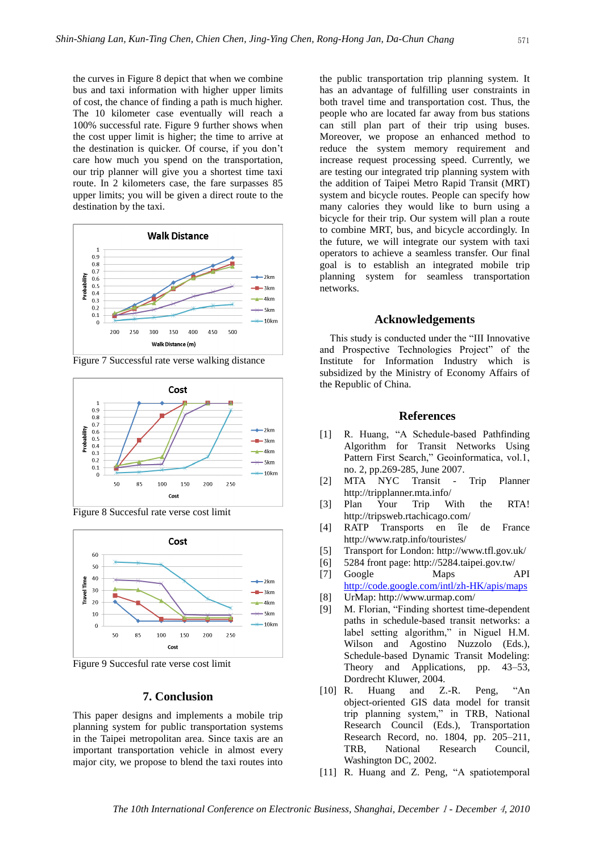the curves in Figure 8 depict that when we combine bus and taxi information with higher upper limits of cost, the chance of finding a path is much higher. The 10 kilometer case eventually will reach a 100% successful rate. Figure 9 further shows when the cost upper limit is higher; the time to arrive at the destination is quicker. Of course, if you don't care how much you spend on the transportation, our trip planner will give you a shortest time taxi route. In 2 kilometers case, the fare surpasses 85 upper limits; you will be given a direct route to the destination by the taxi.



Cost 0.9  $_{0.8}$  $0.7$ Probability  $\leftarrow$  2 km  $0.6$  $0.5$  $-3km$  $0.4$  $-4km$  $0.3$  $0.2$  $-5km$  $0.1$  $-10km$ 50 85 100 150 200 250 Cost



Figure 9 Succesful rate verse cost limit

Figure 8 Succesful rate verse cost limit

### **7. Conclusion**

This paper designs and implements a mobile trip planning system for public transportation systems in the Taipei metropolitan area. Since taxis are an important transportation vehicle in almost every major city, we propose to blend the taxi routes into

the public transportation trip planning system. It has an advantage of fulfilling user constraints in both travel time and transportation cost. Thus, the people who are located far away from bus stations can still plan part of their trip using buses. Moreover, we propose an enhanced method to reduce the system memory requirement and increase request processing speed. Currently, we are testing our integrated trip planning system with the addition of Taipei Metro Rapid Transit (MRT) system and bicycle routes. People can specify how many calories they would like to burn using a bicycle for their trip. Our system will plan a route to combine MRT, bus, and bicycle accordingly. In the future, we will integrate our system with taxi operators to achieve a seamless transfer. Our final goal is to establish an integrated mobile trip planning system for seamless transportation networks.

### **Acknowledgements**

This study is conducted under the "III Innovative and Prospective Technologies Project" of the Institute for Information Industry which is subsidized by the Ministry of Economy Affairs of the Republic of China.

### **References**

- [1] R. Huang, "A Schedule-based Pathfinding Algorithm for Transit Networks Using Pattern First Search," Geoinformatica, vol.1, no. 2, pp.269-285, June 2007.
- [2] MTA NYC Transit Trip Planner http://tripplanner.mta.info/
- [3] Plan Your Trip With the RTA! http://tripsweb.rtachicago.com/
- [4] RATP Transports en île de France http://www.ratp.info/touristes/
- [5] Transport for London: http://www.tfl.gov.uk/
- [6] 5284 front page: http://5284.taipei.gov.tw/
- [7] Google Maps API <http://code.google.com/intl/zh-HK/apis/maps>
- [8] UrMap: http://www.urmap.com/
- [9] M. Florian, "Finding shortest time-dependent paths in schedule-based transit networks: a label setting algorithm," in Niguel H.M. Wilson and Agostino Nuzzolo (Eds.), Schedule-based Dynamic Transit Modeling: Theory and Applications, pp. 43–53, Dordrecht Kluwer, 2004.
- [10] R. Huang and Z.-R. Peng, "An object-oriented GIS data model for transit trip planning system," in TRB, National Research Council (Eds.), Transportation Research Record, no. 1804, pp. 205–211, TRB, National Research Council, Washington DC, 2002.
- [11] R. Huang and Z. Peng, "A spatiotemporal